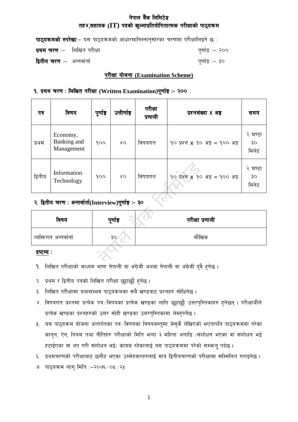# **नेपाल बैंक लिमिटेड** *t***idex**, **the** *i* **Theory of the contribution of the contribution of the kind of the kind of the kind of the kind of the set of the kind of the kind of the kind of the kind of the kind of the kind of the kind of the kind**

|                                     | <b>पाठ्यक्रमको रुपरेखा</b> :– यस पाठ्यक्रमको आधारमानिम्नानुसारका चरणमा परीक्षालिइने छ : |                  |
|-------------------------------------|-----------------------------------------------------------------------------------------|------------------|
| <b>प्रथम चरण</b> :– लिखित परीक्षा   |                                                                                         | पूर्णाङ्क :– २०० |
| <b>द्वितीय चरण</b> :–  अन्तर्वार्ता |                                                                                         | पूर्णाङ्क :– ३०  |

### **k/LIff of]hgf (Examination Scheme)**

## <u>9. प्रथम चरण : लिखित परीक्षा (Written Examination)पूर्णाङ्ग :- २००</u>

| पत्र    | विषय                                  | पूर्णाङ्क   | उत्तीर्णाङ्      | परीक्षा<br>प्रणाली | प्रश्नसंख्या X अ <del>ङ्</del>                               | समय                    |
|---------|---------------------------------------|-------------|------------------|--------------------|--------------------------------------------------------------|------------------------|
| प्रथम   | Economy,<br>Banking and<br>Management | 900         | XO               | विषयगत             | $90 \text{ year } X$ $90 \text{ 3}$ $\frac{1}{8}$ = 900 अङ्क | २ घण्टा<br>३०<br>मिनेट |
| द्वितीय | Information<br>Technology             | <u> ૧૦૦</u> | $X^{\mathbf{O}}$ | विषयगत             | $90 \text{ year} \times 90 \text{ age} = 900 \text{ age}$    | २ घण्टा<br>३०<br>मिनेट |

# **@= låtLo r/0f M cGtjf{tf{(Interview)k"0ff{Ë M– #)**

| विषय                   | पूर्णाङ्क | परीक्षा प्रणाली |
|------------------------|-----------|-----------------|
| व्यक्तिगत अन्तर्वार्ता | ३०        | मौखिक           |

**द्रष्टव्य**ः **M**

- <u>9. लिखित परीक्षाको माध्यम भाषा नेपाली वा अंग्रेजी अथवा नेपाली वा अंग्रेजी दुवै हुनेछ ।</u>
- २. प्रथम र द्वितीय पत्रको लिखित परीक्षा छुट्टाछुट्टै हुनेछ ।
- ३. लिखित परीक्षामा यथासम्भव पाठ्यक्रमका सबै खण्डबाट प्रश्नहरु सोधिनेछ ।
- ४. विषयगत प्रश्नमा प्रत्येक पत्र विषयका प्रत्येक खण्डका लागि छुट्टाछुट्टै उत्तरपुस्तिकाहरु हुनेछन् । परीक्षार्थीले प्रत्येक खण्डका प्रश्नहरुको उत्तर सोही खण्डका उत्तरपुस्तिकामा लेख्नुपर्नेछ ।
- $x_{i}$  यस पाठ्यक्रम योजना अन्तर्गतका पत्र /विषयका विषयवस्तुमा जेसुकै लेखिएको भएतापनि पाठ्यक्रममा परेका कानून, ऐन, नियम तथा नीतिहरु परीक्षाको मिति भन्दा ३ महिना अगाडि (संशोधन भएका वा संशोधन भई हटाईएका वा थप गरी संशोधन भई) कायम रहेकालाई यस पाठुयक्रममा परेको सम्भन् पर्दछ ।
- ६. प्रथमचरणको परीक्षाबाट छनौट भएका उम्मेदवारहरुलाई मात्र द्वितीयचरणको परीक्षामा सम्मिलित गराइनेछ ।
- ७. पाठ्यक्रम लागू मिति :-२०७६ / ०५ / २५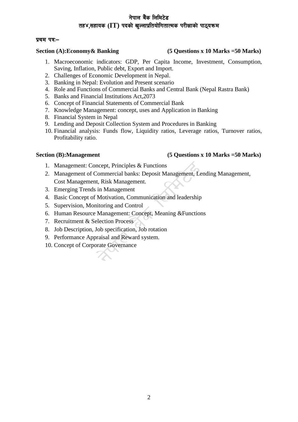# नेपाल बैंक लिमिटे**ड** *t***igos** *(IT)* **पदको खल्लाप्रतियोगितात्मक परीक्षाको पाठयकम**

### **ya kq** va:-

### **Section (A):Economy& Banking (5 Questions x 10 Marks =50 Marks)**

- 1. Macroeconomic indicators: GDP, Per Capita Income, Investment, Consumption, Saving, Inflation, Public debt, Export and Import.
- 2. Challenges of Economic Development in Nepal.
- 3. Banking in Nepal: Evolution and Present scenario
- 4. Role and Functions of Commercial Banks and Central Bank (Nepal Rastra Bank)
- 5. Banks and Financial Institutions Act,2073
- 6. Concept of Financial Statements of Commercial Bank
- 7. Knowledge Management: concept, uses and Application in Banking
- 8. Financial System in Nepal
- 9. Lending and Deposit Collection System and Procedures in Banking
- 10. Financial analysis: Funds flow, Liquidity ratios, Leverage ratios, Turnover ratios, Profitability ratio.

### **Section (B):Management (5 Questions x 10 Marks =50 Marks)**

- 1. Management: Concept, Principles & Functions
- 2. Management of Commercial banks: Deposit Management, Lending Management, Cost Management, Risk Management.
- 3. Emerging Trends in Management
- 4. Basic Concept of Motivation, Communication and leadership
- 5. Supervision, Monitoring and Control
- 6. Human Resource Management: Concept, Meaning &Functions
- 7. Recruitment & Selection Process
- 8. Job Description, Job specification, Job rotation
- 9. Performance Appraisal and Reward system.
- 10. Concept of Corporate Governance